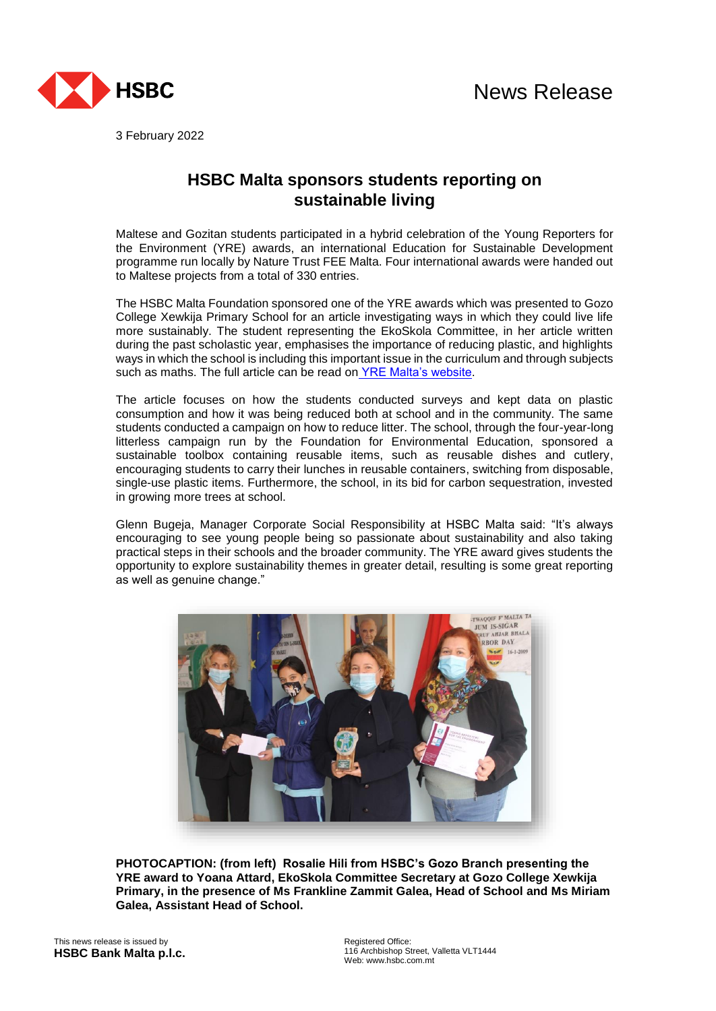

3 February 2022

## **HSBC Malta sponsors students reporting on sustainable living**

Maltese and Gozitan students participated in a hybrid celebration of the Young Reporters for the Environment (YRE) awards, an international Education for Sustainable Development programme run locally by Nature Trust FEE Malta. Four international awards were handed out to Maltese projects from a total of 330 entries.

The HSBC Malta Foundation sponsored one of the YRE awards which was presented to Gozo College Xewkija Primary School for an article investigating ways in which they could live life more sustainably. The student representing the EkoSkola Committee, in her article written during the past scholastic year, emphasises the importance of reducing plastic, and highlights ways in which the school is including this important issue in the curriculum and through subjects such as maths. The full article can be read on [YRE Malta's website.](https://yremalta.org/past-entries/l-iskola-u-l-ambjent/)

The article focuses on how the students conducted surveys and kept data on plastic consumption and how it was being reduced both at school and in the community. The same students conducted a campaign on how to reduce litter. The school, through the four-year-long litterless campaign run by the Foundation for Environmental Education, sponsored a sustainable toolbox containing reusable items, such as reusable dishes and cutlery, encouraging students to carry their lunches in reusable containers, switching from disposable, single-use plastic items. Furthermore, the school, in its bid for carbon sequestration, invested in growing more trees at school.

Glenn Bugeja, Manager Corporate Social Responsibility at HSBC Malta said: "It's always encouraging to see young people being so passionate about sustainability and also taking practical steps in their schools and the broader community. The YRE award gives students the opportunity to explore sustainability themes in greater detail, resulting is some great reporting as well as genuine change."



**PHOTOCAPTION: (from left) Rosalie Hili from HSBC's Gozo Branch presenting the YRE award to Yoana Attard, EkoSkola Committee Secretary at Gozo College Xewkija Primary, in the presence of Ms Frankline Zammit Galea, Head of School and Ms Miriam Galea, Assistant Head of School.**

This news release is issued by **HSBC Bank Malta p.l.c.** Registered Office: 116 Archbishop Street, Valletta VLT1444 Web: www.hsbc.com.mt